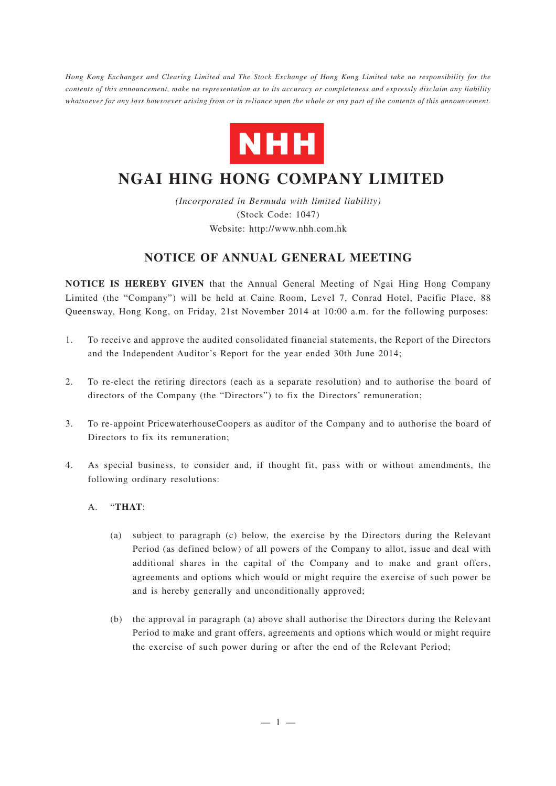*Hong Kong Exchanges and Clearing Limited and The Stock Exchange of Hong Kong Limited take no responsibility for the contents of this announcement, make no representation as to its accuracy or completeness and expressly disclaim any liability whatsoever for any loss howsoever arising from or in reliance upon the whole or any part of the contents of this announcement.*



## **NGAI HING HONG COMPANY LIMITED**

*(Incorporated in Bermuda with limited liability)* (Stock Code: 1047) Website: http://www.nhh.com.hk

## **NOTICE OF ANNUAL GENERAL MEETING**

**NOTICE IS HEREBY GIVEN** that the Annual General Meeting of Ngai Hing Hong Company Limited (the "Company") will be held at Caine Room, Level 7, Conrad Hotel, Pacific Place, 88 Queensway, Hong Kong, on Friday, 21st November 2014 at 10:00 a.m. for the following purposes:

- 1. To receive and approve the audited consolidated financial statements, the Report of the Directors and the Independent Auditor's Report for the year ended 30th June 2014;
- 2. To re-elect the retiring directors (each as a separate resolution) and to authorise the board of directors of the Company (the "Directors") to fix the Directors' remuneration;
- 3. To re-appoint PricewaterhouseCoopers as auditor of the Company and to authorise the board of Directors to fix its remuneration;
- 4. As special business, to consider and, if thought fit, pass with or without amendments, the following ordinary resolutions:
	- A. "**THAT**:
		- (a) subject to paragraph (c) below, the exercise by the Directors during the Relevant Period (as defined below) of all powers of the Company to allot, issue and deal with additional shares in the capital of the Company and to make and grant offers, agreements and options which would or might require the exercise of such power be and is hereby generally and unconditionally approved;
		- (b) the approval in paragraph (a) above shall authorise the Directors during the Relevant Period to make and grant offers, agreements and options which would or might require the exercise of such power during or after the end of the Relevant Period;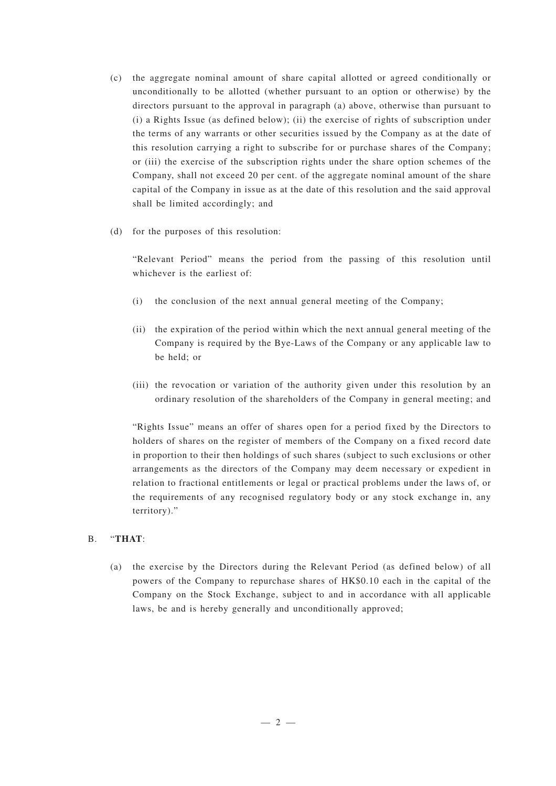- (c) the aggregate nominal amount of share capital allotted or agreed conditionally or unconditionally to be allotted (whether pursuant to an option or otherwise) by the directors pursuant to the approval in paragraph (a) above, otherwise than pursuant to (i) a Rights Issue (as defined below); (ii) the exercise of rights of subscription under the terms of any warrants or other securities issued by the Company as at the date of this resolution carrying a right to subscribe for or purchase shares of the Company; or (iii) the exercise of the subscription rights under the share option schemes of the Company, shall not exceed 20 per cent. of the aggregate nominal amount of the share capital of the Company in issue as at the date of this resolution and the said approval shall be limited accordingly; and
- (d) for the purposes of this resolution:

"Relevant Period" means the period from the passing of this resolution until whichever is the earliest of:

- (i) the conclusion of the next annual general meeting of the Company;
- (ii) the expiration of the period within which the next annual general meeting of the Company is required by the Bye-Laws of the Company or any applicable law to be held; or
- (iii) the revocation or variation of the authority given under this resolution by an ordinary resolution of the shareholders of the Company in general meeting; and

"Rights Issue" means an offer of shares open for a period fixed by the Directors to holders of shares on the register of members of the Company on a fixed record date in proportion to their then holdings of such shares (subject to such exclusions or other arrangements as the directors of the Company may deem necessary or expedient in relation to fractional entitlements or legal or practical problems under the laws of, or the requirements of any recognised regulatory body or any stock exchange in, any territory)."

## B. "**THAT**:

(a) the exercise by the Directors during the Relevant Period (as defined below) of all powers of the Company to repurchase shares of HK\$0.10 each in the capital of the Company on the Stock Exchange, subject to and in accordance with all applicable laws, be and is hereby generally and unconditionally approved;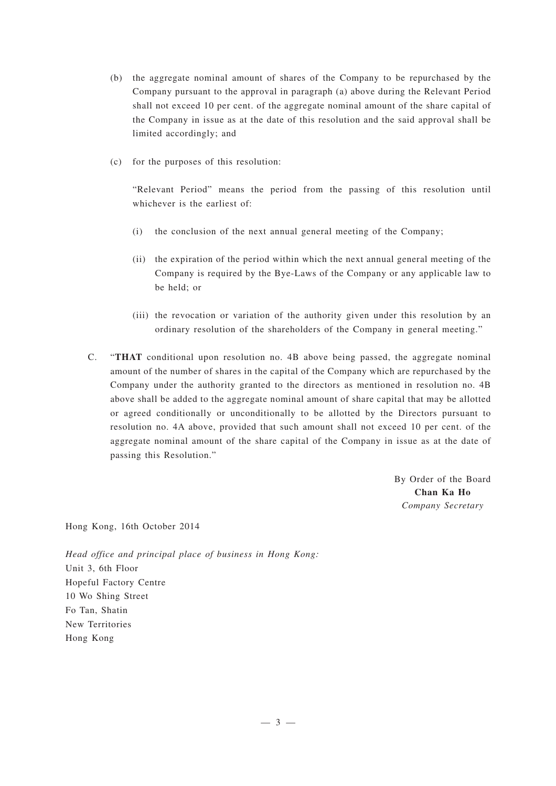- (b) the aggregate nominal amount of shares of the Company to be repurchased by the Company pursuant to the approval in paragraph (a) above during the Relevant Period shall not exceed 10 per cent. of the aggregate nominal amount of the share capital of the Company in issue as at the date of this resolution and the said approval shall be limited accordingly; and
- (c) for the purposes of this resolution:

"Relevant Period" means the period from the passing of this resolution until whichever is the earliest of:

- (i) the conclusion of the next annual general meeting of the Company;
- (ii) the expiration of the period within which the next annual general meeting of the Company is required by the Bye-Laws of the Company or any applicable law to be held; or
- (iii) the revocation or variation of the authority given under this resolution by an ordinary resolution of the shareholders of the Company in general meeting."
- C. "**THAT** conditional upon resolution no. 4B above being passed, the aggregate nominal amount of the number of shares in the capital of the Company which are repurchased by the Company under the authority granted to the directors as mentioned in resolution no. 4B above shall be added to the aggregate nominal amount of share capital that may be allotted or agreed conditionally or unconditionally to be allotted by the Directors pursuant to resolution no. 4A above, provided that such amount shall not exceed 10 per cent. of the aggregate nominal amount of the share capital of the Company in issue as at the date of passing this Resolution."

By Order of the Board **Chan Ka Ho** *Company Secretary*

Hong Kong, 16th October 2014

*Head office and principal place of business in Hong Kong:* Unit 3, 6th Floor Hopeful Factory Centre 10 Wo Shing Street Fo Tan, Shatin New Territories Hong Kong